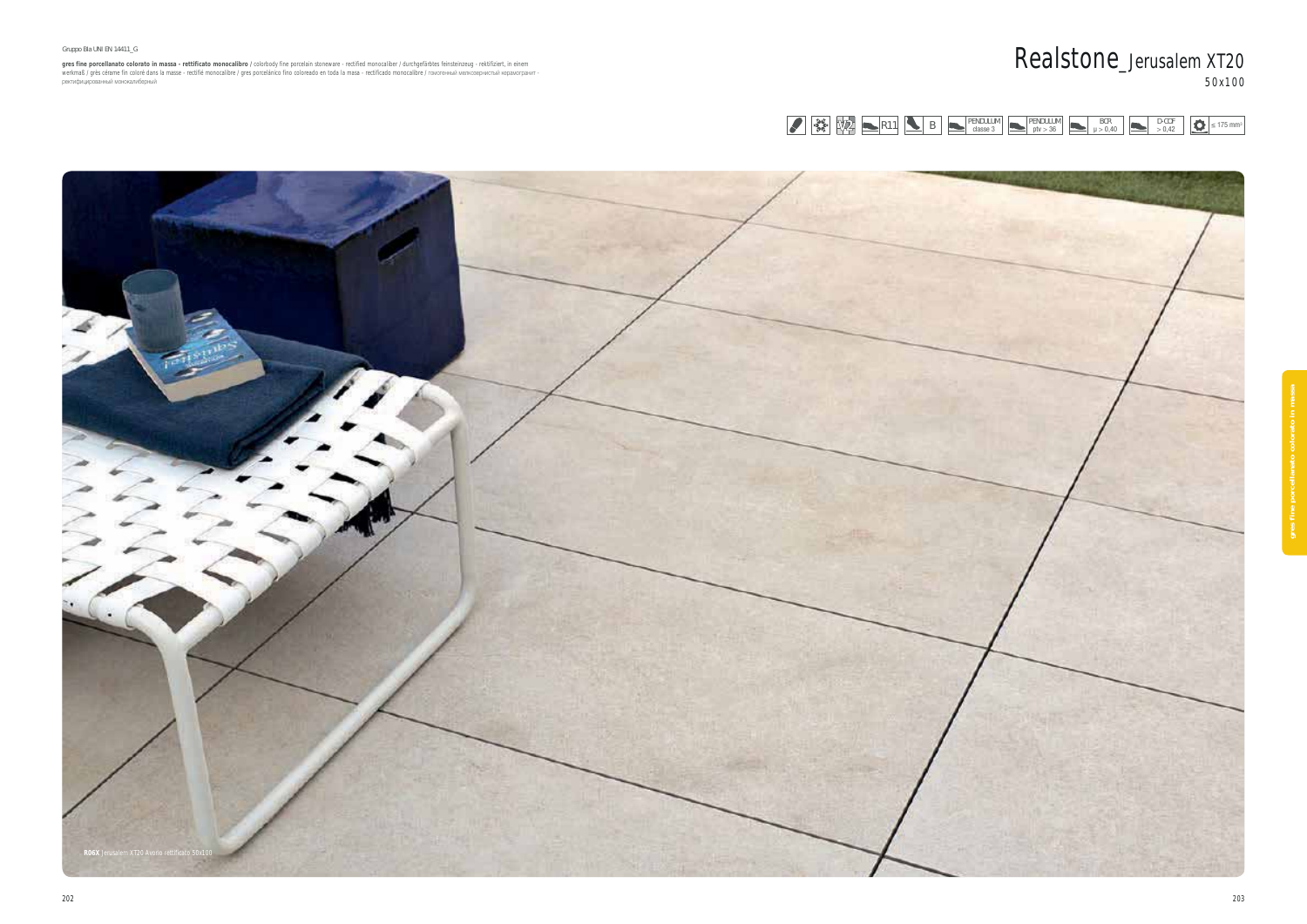#### Gruppo Bla UNI EN 14411\_G

gres fine porcellanato colorato in massa - rettificato monocalibro / colorbody fine porcelain stoneware - rectified monocaliber / durchgefärbtes feinsteinzeug - rektifiziert, in einem<br>werkmaß / grès cérame fin coloré dans

PENDULUM PENDULUM PENDULUM PENDULUM PENDULUM PENDULUM PENDULUM PENDULUM PENDULUM PENDULUM PENDULUM PENDULUM PENDULUM PENDULUM PENDULUM PENDULUM PENDULUM PENDULUM PENDULUM PENDULUM PENDULUM PENDULUM PENDULUM PENDULUM PENDUL



# Realstone\_Jerusalem XT20 50x100